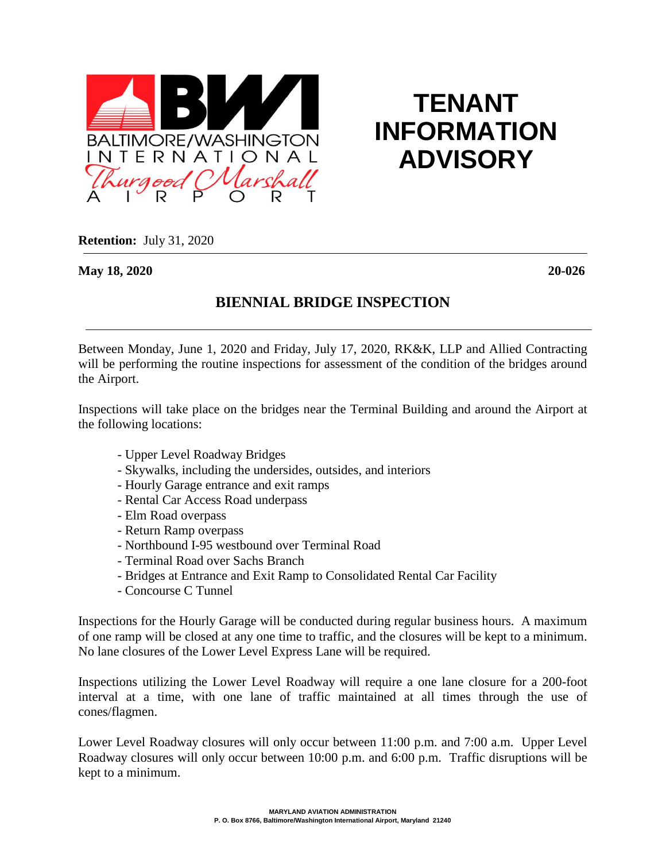

## **TENANT INFORMATION ADVISORY**

**Retention:** July 31, 2020

**May 18, 2020 20-026**

## **BIENNIAL BRIDGE INSPECTION**

Between Monday, June 1, 2020 and Friday, July 17, 2020, RK&K, LLP and Allied Contracting will be performing the routine inspections for assessment of the condition of the bridges around the Airport.

Inspections will take place on the bridges near the Terminal Building and around the Airport at the following locations:

- Upper Level Roadway Bridges
- Skywalks, including the undersides, outsides, and interiors
- Hourly Garage entrance and exit ramps
- Rental Car Access Road underpass
- Elm Road overpass
- Return Ramp overpass
- Northbound I-95 westbound over Terminal Road
- Terminal Road over Sachs Branch
- Bridges at Entrance and Exit Ramp to Consolidated Rental Car Facility
- Concourse C Tunnel

Inspections for the Hourly Garage will be conducted during regular business hours. A maximum of one ramp will be closed at any one time to traffic, and the closures will be kept to a minimum. No lane closures of the Lower Level Express Lane will be required.

Inspections utilizing the Lower Level Roadway will require a one lane closure for a 200-foot interval at a time, with one lane of traffic maintained at all times through the use of cones/flagmen.

Lower Level Roadway closures will only occur between 11:00 p.m. and 7:00 a.m. Upper Level Roadway closures will only occur between 10:00 p.m. and 6:00 p.m. Traffic disruptions will be kept to a minimum.